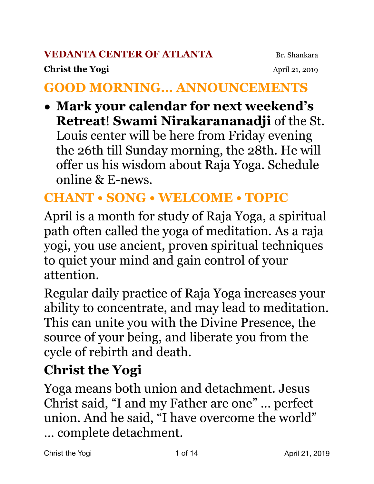#### **VEDANTA CENTER OF ATLANTA** Br. Shankara

#### **Christ the Yogi April 21, 2019**

### **GOOD MORNING… ANNOUNCEMENTS**

**• Mark your calendar for next weekend's Retreat**! **Swami Nirakarananadji** of the St. Louis center will be here from Friday evening the 26th till Sunday morning, the 28th. He will offer us his wisdom about Raja Yoga. Schedule online & E-news.

## **CHANT • SONG • WELCOME • TOPIC**

April is a month for study of Raja Yoga, a spiritual path often called the yoga of meditation. As a raja yogi, you use ancient, proven spiritual techniques to quiet your mind and gain control of your attention.

Regular daily practice of Raja Yoga increases your ability to concentrate, and may lead to meditation. This can unite you with the Divine Presence, the source of your being, and liberate you from the cycle of rebirth and death.

## **Christ the Yogi**

Yoga means both union and detachment. Jesus Christ said, "I and my Father are one" … perfect union. And he said, "I have overcome the world" … complete detachment.

Christ the Yogi 1 of 14 April 21, 2019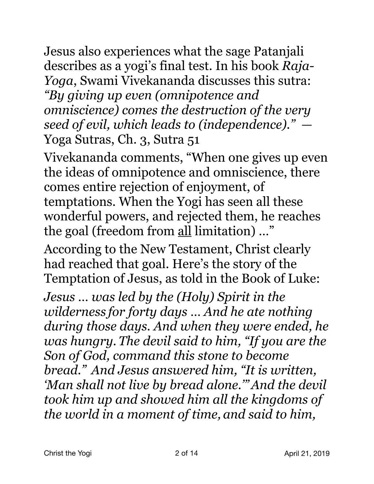Jesus also experiences what the sage Patanjali describes as a yogi's final test. In his book *Raja-Yoga*, Swami Vivekananda discusses this sutra: *"By giving up even (omnipotence and omniscience) comes the destruction of the very seed of evil, which leads to (independence)." —*  Yoga Sutras, Ch. 3, Sutra 51

Vivekananda comments, "When one gives up even the ideas of omnipotence and omniscience, there comes entire rejection of enjoyment, of temptations. When the Yogi has seen all these wonderful powers, and rejected them, he reaches the goal (freedom from all limitation) …"

According to the New Testament, Christ clearly had reached that goal. Here's the story of the Temptation of Jesus, as told in the Book of Luke:

*Jesus … was led by the (Holy) Spirit in the wilderness for forty days … And he ate nothing during those days. And when they were ended, he was hungry. The devil said to him, "If you are the Son of God, command this stone to become bread." And Jesus answered him, "It is written, 'Man shall not live by bread alone.'"And the devil took him up and showed him all the kingdoms of the world in a moment of time, and said to him,*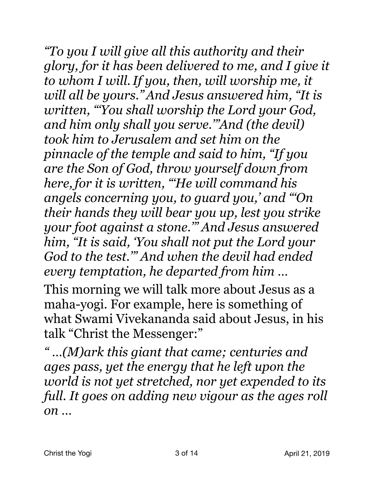*"To you I will give all this authority and their glory, for it has been delivered to me, and I give it to whom I will.If you, then, will worship me, it will all be yours."And Jesus answered him, "It is written, "'You shall worship the Lord your God, and him only shall you serve.'"And (the devil) took him to Jerusalem and set him on the pinnacle of the temple and said to him, "If you are the Son of God, throw yourself down from here,for it is written, "'He will command his angels concerning you, to guard you,' and "'On their hands they will bear you up, lest you strike your foot against a stone.'" And Jesus answered him, "It is said, 'You shall not put the Lord your God to the test.'" And when the devil had ended every temptation, he departed from him …* 

This morning we will talk more about Jesus as a maha-yogi. For example, here is something of what Swami Vivekananda said about Jesus, in his talk "Christ the Messenger:"

*" …(M)ark this giant that came; centuries and ages pass, yet the energy that he left upon the world is not yet stretched, nor yet expended to its full. It goes on adding new vigour as the ages roll on …*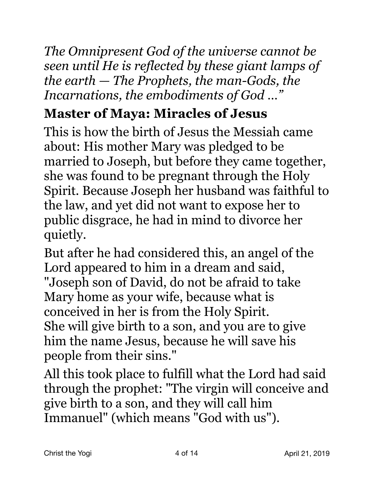*The Omnipresent God of the universe cannot be seen until He is reflected by these giant lamps of the earth — The Prophets, the man-Gods, the Incarnations, the embodiments of God …"* 

# **Master of Maya: Miracles of Jesus**

This is how the birth of Jesus the Messiah came about: His mother Mary was pledged to be married to Joseph, but before they came together, she was found to be pregnant through the Holy Spirit. Because Joseph her husband was faithful to the law, and yet did not want to expose her to public disgrace, he had in mind to divorce her quietly.

But after he had considered this, an angel of the Lord appeared to him in a dream and said, "Joseph son of David, do not be afraid to take Mary home as your wife, because what is conceived in her is from the Holy Spirit. She will give birth to a son, and you are to give him the name Jesus, because he will save his people from their sins."

All this took place to fulfill what the Lord had said through the prophet: "The virgin will conceive and give birth to a son, and they will call him Immanuel" (which means "God with us").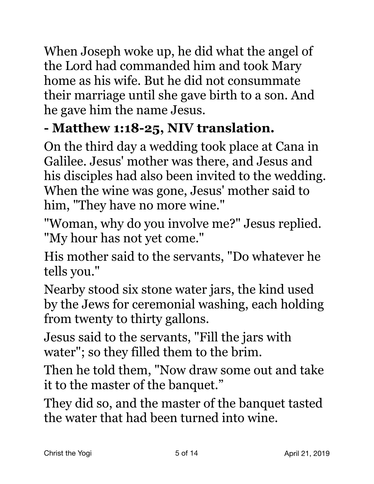When Joseph woke up, he did what the angel of the Lord had commanded him and took Mary home as his wife. But he did not consummate their marriage until she gave birth to a son. And he gave him the name Jesus.

## **- Matthew 1:18-25, NIV translation.**

On the third day a wedding took place at Cana in Galilee. Jesus' mother was there, and Jesus and his disciples had also been invited to the wedding. When the wine was gone, Jesus' mother said to him, "They have no more wine."

"Woman, why do you involve me?" Jesus replied. "My hour has not yet come."

His mother said to the servants, "Do whatever he tells you."

Nearby stood six stone water jars, the kind used by the Jews for ceremonial washing, each holding from twenty to thirty gallons.

Jesus said to the servants, "Fill the jars with water"; so they filled them to the brim.

Then he told them, "Now draw some out and take it to the master of the banquet."

They did so, and the master of the banquet tasted the water that had been turned into wine.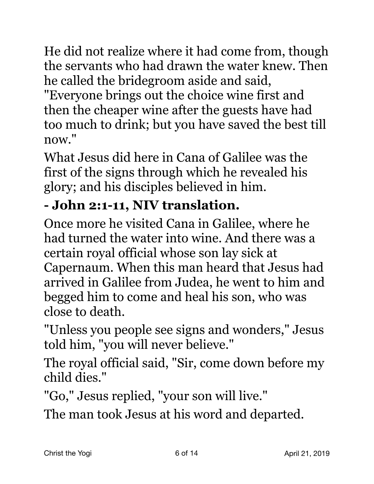He did not realize where it had come from, though the servants who had drawn the water knew. Then he called the bridegroom aside and said,

"Everyone brings out the choice wine first and then the cheaper wine after the guests have had too much to drink; but you have saved the best till now."

What Jesus did here in Cana of Galilee was the first of the signs through which he revealed his glory; and his disciples believed in him.

## **- John 2:1-11, NIV translation.**

Once more he visited Cana in Galilee, where he had turned the water into wine. And there was a certain royal official whose son lay sick at Capernaum. When this man heard that Jesus had arrived in Galilee from Judea, he went to him and begged him to come and heal his son, who was close to death.

"Unless you people see signs and wonders," Jesus told him, "you will never believe."

The royal official said, "Sir, come down before my child dies."

"Go," Jesus replied, "your son will live."

The man took Jesus at his word and departed.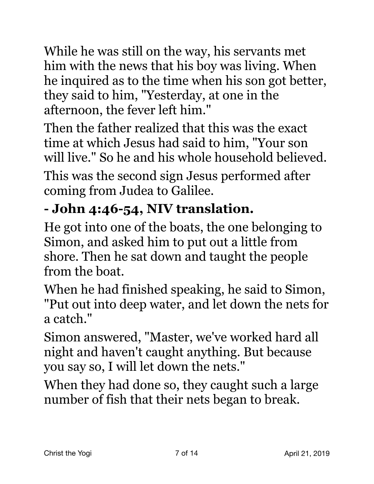While he was still on the way, his servants met him with the news that his boy was living. When he inquired as to the time when his son got better, they said to him, "Yesterday, at one in the afternoon, the fever left him."

Then the father realized that this was the exact time at which Jesus had said to him, "Your son will live." So he and his whole household believed.

This was the second sign Jesus performed after coming from Judea to Galilee.

# **- John 4:46-54, NIV translation.**

He got into one of the boats, the one belonging to Simon, and asked him to put out a little from shore. Then he sat down and taught the people from the boat.

When he had finished speaking, he said to Simon, "Put out into deep water, and let down the nets for a catch."

Simon answered, "Master, we've worked hard all night and haven't caught anything. But because you say so, I will let down the nets."

When they had done so, they caught such a large number of fish that their nets began to break.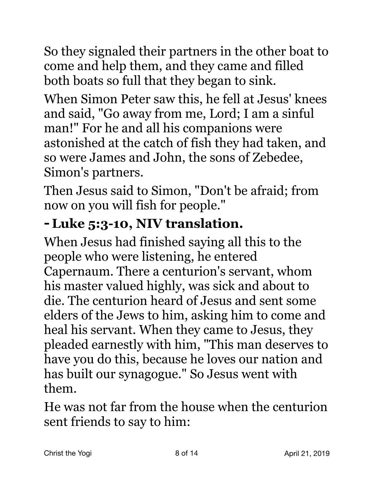So they signaled their partners in the other boat to come and help them, and they came and filled both boats so full that they began to sink.

When Simon Peter saw this, he fell at Jesus' knees and said, "Go away from me, Lord; I am a sinful man!" For he and all his companions were astonished at the catch of fish they had taken, and so were James and John, the sons of Zebedee, Simon's partners.

Then Jesus said to Simon, "Don't be afraid; from now on you will fish for people."

## **-Luke 5:3-10, NIV translation.**

When Jesus had finished saying all this to the people who were listening, he entered Capernaum. There a centurion's servant, whom his master valued highly, was sick and about to die. The centurion heard of Jesus and sent some elders of the Jews to him, asking him to come and heal his servant. When they came to Jesus, they pleaded earnestly with him, "This man deserves to have you do this, because he loves our nation and has built our synagogue." So Jesus went with them.

He was not far from the house when the centurion sent friends to say to him: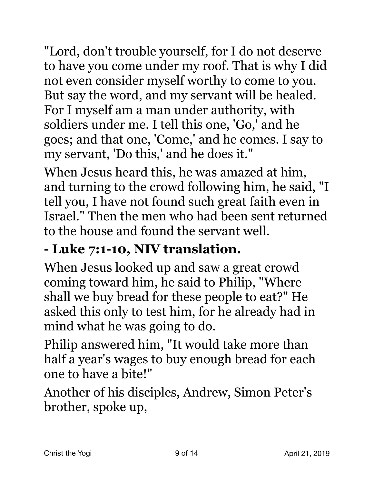"Lord, don't trouble yourself, for I do not deserve to have you come under my roof. That is why I did not even consider myself worthy to come to you. But say the word, and my servant will be healed. For I myself am a man under authority, with soldiers under me. I tell this one, 'Go,' and he goes; and that one, 'Come,' and he comes. I say to my servant, 'Do this,' and he does it."

When Jesus heard this, he was amazed at him, and turning to the crowd following him, he said, "I tell you, I have not found such great faith even in Israel." Then the men who had been sent returned to the house and found the servant well.

## **- Luke 7:1-10, NIV translation.**

When Jesus looked up and saw a great crowd coming toward him, he said to Philip, "Where shall we buy bread for these people to eat?" He asked this only to test him, for he already had in mind what he was going to do.

Philip answered him, "It would take more than half a year's wages to buy enough bread for each one to have a bite!"

Another of his disciples, Andrew, Simon Peter's brother, spoke up,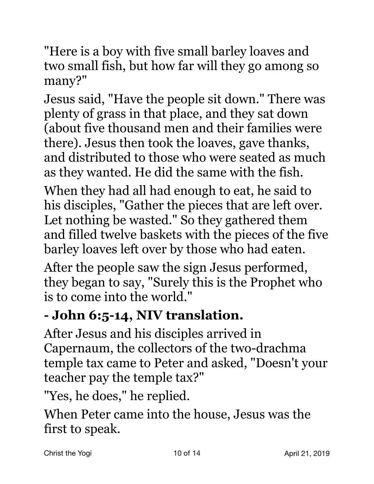"Here is a boy with five small barley loaves and two small fish, but how far will they go among so many?"

Jesus said, "Have the people sit down." There was plenty of grass in that place, and they sat down (about five thousand men and their families were there). Jesus then took the loaves, gave thanks, and distributed to those who were seated as much as they wanted. He did the same with the fish.

When they had all had enough to eat, he said to his disciples, "Gather the pieces that are left over. Let nothing be wasted." So they gathered them and filled twelve baskets with the pieces of the five barley loaves left over by those who had eaten.

After the people saw the sign Jesus performed, they began to say, "Surely this is the Prophet who is to come into the world."

## **- John 6:5-14, NIV translation.**

After Jesus and his disciples arrived in Capernaum, the collectors of the two-drachma temple tax came to Peter and asked, "Doesn't your teacher pay the temple tax?"

"Yes, he does," he replied.

When Peter came into the house, Jesus was the first to speak.

Christ the Yogi **10 of 14** April 21, 2019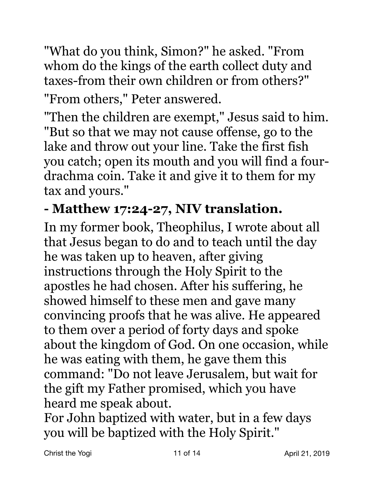"What do you think, Simon?" he asked. "From whom do the kings of the earth collect duty and taxes-from their own children or from others?" "From others," Peter answered.

"Then the children are exempt," Jesus said to him. "But so that we may not cause offense, go to the lake and throw out your line. Take the first fish you catch; open its mouth and you will find a fourdrachma coin. Take it and give it to them for my tax and yours."

### **- Matthew 17:24-27, NIV translation.**

In my former book, Theophilus, I wrote about all that Jesus began to do and to teach until the day he was taken up to heaven, after giving instructions through the Holy Spirit to the apostles he had chosen. After his suffering, he showed himself to these men and gave many convincing proofs that he was alive. He appeared to them over a period of forty days and spoke about the kingdom of God. On one occasion, while he was eating with them, he gave them this command: "Do not leave Jerusalem, but wait for the gift my Father promised, which you have heard me speak about.

For John baptized with water, but in a few days you will be baptized with the Holy Spirit."

Christ the Yogi **11 of 14** April 21, 2019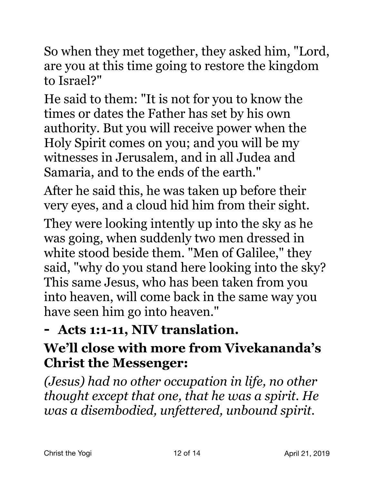So when they met together, they asked him, "Lord, are you at this time going to restore the kingdom to Israel?"

He said to them: "It is not for you to know the times or dates the Father has set by his own authority. But you will receive power when the Holy Spirit comes on you; and you will be my witnesses in Jerusalem, and in all Judea and Samaria, and to the ends of the earth."

After he said this, he was taken up before their very eyes, and a cloud hid him from their sight.

They were looking intently up into the sky as he was going, when suddenly two men dressed in white stood beside them. "Men of Galilee," they said, "why do you stand here looking into the sky? This same Jesus, who has been taken from you into heaven, will come back in the same way you have seen him go into heaven."

## **- Acts 1:1-11, NIV translation.**

## **We'll close with more from Vivekananda's Christ the Messenger:**

*(Jesus) had no other occupation in life, no other thought except that one, that he was a spirit. He was a disembodied, unfettered, unbound spirit.*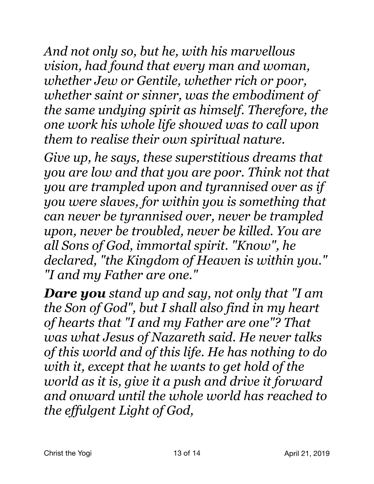*And not only so, but he, with his marvellous vision, had found that every man and woman, whether Jew or Gentile, whether rich or poor, whether saint or sinner, was the embodiment of the same undying spirit as himself. Therefore, the one work his whole life showed was to call upon them to realise their own spiritual nature.* 

*Give up, he says, these superstitious dreams that you are low and that you are poor. Think not that you are trampled upon and tyrannised over as if you were slaves, for within you is something that can never be tyrannised over, never be trampled upon, never be troubled, never be killed. You are all Sons of God, immortal spirit. "Know", he declared, "the Kingdom of Heaven is within you." "I and my Father are one."* 

*Dare you stand up and say, not only that "I am the Son of God", but I shall also find in my heart of hearts that "I and my Father are one"? That was what Jesus of Nazareth said. He never talks of this world and of this life. He has nothing to do with it, except that he wants to get hold of the world as it is, give it a push and drive it forward and onward until the whole world has reached to the effulgent Light of God,*